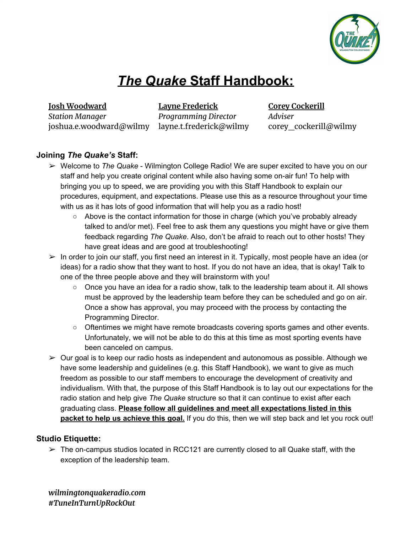

# *The Quake* **Staff Handbook:**

**Josh Woodward** *Station Manager* joshua.e.woodward@wilmy layne.t.frederick@wilmy

**Layne Frederick** *Programming Director* **Corey Cockerill** *Adviser* corey\_cockerill@wilmy

## **Joining** *The Quake's* **Staff:**

- ➢ Welcome to *The Quake* Wilmington College Radio! We are super excited to have you on our staff and help you create original content while also having some on-air fun! To help with bringing you up to speed, we are providing you with this Staff Handbook to explain our procedures, equipment, and expectations. Please use this as a resource throughout your time with us as it has lots of good information that will help you as a radio host!
	- Above is the contact information for those in charge (which you've probably already talked to and/or met). Feel free to ask them any questions you might have or give them feedback regarding *The Quake*. Also, don't be afraid to reach out to other hosts! They have great ideas and are good at troubleshooting!
- $\triangleright$  In order to join our staff, you first need an interest in it. Typically, most people have an idea (or ideas) for a radio show that they want to host. If you do not have an idea, that is okay! Talk to one of the three people above and they will brainstorm with you!
	- Once you have an idea for a radio show, talk to the leadership team about it. All shows must be approved by the leadership team before they can be scheduled and go on air. Once a show has approval, you may proceed with the process by contacting the Programming Director.
	- Oftentimes we might have remote broadcasts covering sports games and other events. Unfortunately, we will not be able to do this at this time as most sporting events have been canceled on campus.
- $\triangleright$  Our goal is to keep our radio hosts as independent and autonomous as possible. Although we have some leadership and guidelines (e.g. this Staff Handbook), we want to give as much freedom as possible to our staff members to encourage the development of creativity and individualism. With that, the purpose of this Staff Handbook is to lay out our expectations for the radio station and help give *The Quake* structure so that it can continue to exist after each graduating class. **Please follow all guidelines and meet all expectations listed in this packet to help us achieve this goal.** If you do this, then we will step back and let you rock out!

### **Studio Etiquette:**

 $\triangleright$  The on-campus studios located in RCC121 are currently closed to all Quake staff, with the exception of the leadership team.

*wilmingtonquakeradio.com #TuneInTurnUpRockOut*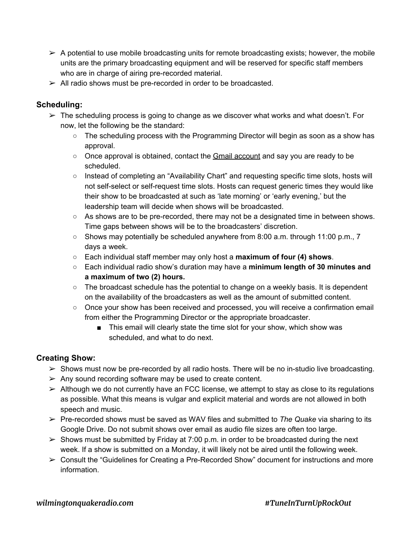- $\triangleright$  A potential to use mobile broadcasting units for remote broadcasting exists; however, the mobile units are the primary broadcasting equipment and will be reserved for specific staff members who are in charge of airing pre-recorded material.
- $\triangleright$  All radio shows must be pre-recorded in order to be broadcasted.

## **Scheduling:**

- $\triangleright$  The scheduling process is going to change as we discover what works and what doesn't. For now, let the following be the standard:
	- The scheduling process with the Programming Director will begin as soon as a show has approval.
	- Once approval is obtained, contact the Gmail account and say you are ready to be scheduled.
	- Instead of completing an "Availability Chart" and requesting specific time slots, hosts will not self-select or self-request time slots. Hosts can request generic times they would like their show to be broadcasted at such as 'late morning' or 'early evening,' but the leadership team will decide when shows will be broadcasted.
	- $\circ$  As shows are to be pre-recorded, there may not be a designated time in between shows. Time gaps between shows will be to the broadcasters' discretion.
	- Shows may potentially be scheduled anywhere from 8:00 a.m. through 11:00 p.m., 7 days a week.
	- Each individual staff member may only host a **maximum of four (4) shows**.
	- Each individual radio show's duration may have a **minimum length of 30 minutes and a maximum of two (2) hours.**
	- $\circ$  The broadcast schedule has the potential to change on a weekly basis. It is dependent on the availability of the broadcasters as well as the amount of submitted content.
	- Once your show has been received and processed, you will receive a confirmation email from either the Programming Director or the appropriate broadcaster.
		- This email will clearly state the time slot for your show, which show was scheduled, and what to do next.

# **Creating Show:**

- $\triangleright$  Shows must now be pre-recorded by all radio hosts. There will be no in-studio live broadcasting.
- $\triangleright$  Any sound recording software may be used to create content.
- $\triangleright$  Although we do not currently have an FCC license, we attempt to stay as close to its regulations as possible. What this means is vulgar and explicit material and words are not allowed in both speech and music.
- ➢ Pre-recorded shows must be saved as WAV files and submitted to *The Quake* via sharing to its Google Drive. Do not submit shows over email as audio file sizes are often too large.
- $\triangleright$  Shows must be submitted by Friday at 7:00 p.m. in order to be broadcasted during the next week. If a show is submitted on a Monday, it will likely not be aired until the following week.
- $\triangleright$  Consult the "Guidelines for Creating a Pre-Recorded Show" document for instructions and more information.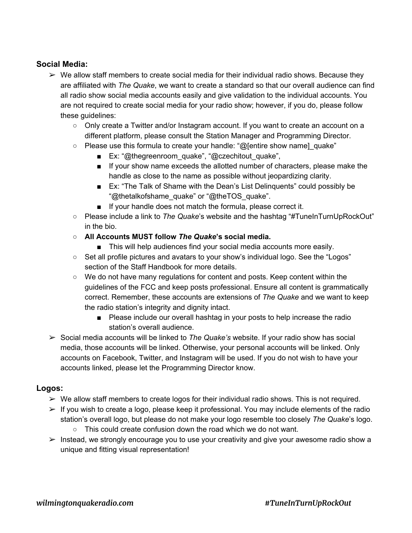## **Social Media:**

- $\triangleright$  We allow staff members to create social media for their individual radio shows. Because they are affiliated with *The Quake*, we want to create a standard so that our overall audience can find all radio show social media accounts easily and give validation to the individual accounts. You are not required to create social media for your radio show; however, if you do, please follow these guidelines:
	- Only create a Twitter and/or Instagram account. If you want to create an account on a different platform, please consult the Station Manager and Programming Director.
	- $\circ$  Please use this formula to create your handle: "@[entire show name] quake"
		- Ex: "@thegreenroom\_quake", "@czechitout\_quake",
		- If your show name exceeds the allotted number of characters, please make the handle as close to the name as possible without jeopardizing clarity.
		- Ex: "The Talk of Shame with the Dean's List Delinguents" could possibly be "@thetalkofshame\_quake" or "@theTOS\_quake".
		- If your handle does not match the formula, please correct it.
	- Please include a link to *The Quake*'s website and the hashtag "#TuneInTurnUpRockOut" in the bio.
	- **○ All Accounts MUST follow** *The Quake***'s social media.**
		- This will help audiences find your social media accounts more easily.
	- Set all profile pictures and avatars to your show's individual logo. See the "Logos" section of the Staff Handbook for more details.
	- We do not have many regulations for content and posts. Keep content within the guidelines of the FCC and keep posts professional. Ensure all content is grammatically correct. Remember, these accounts are extensions of *The Quake* and we want to keep the radio station's integrity and dignity intact.
		- Please include our overall hashtag in your posts to help increase the radio station's overall audience.
- ➢ Social media accounts will be linked to *The Quake's* website. If your radio show has social media, those accounts will be linked. Otherwise, your personal accounts will be linked. Only accounts on Facebook, Twitter, and Instagram will be used. If you do not wish to have your accounts linked, please let the Programming Director know.

### **Logos:**

- $\triangleright$  We allow staff members to create logos for their individual radio shows. This is not required.
- $\triangleright$  If you wish to create a logo, please keep it professional. You may include elements of the radio station's overall logo, but please do not make your logo resemble too closely *The Quake*'s logo.
	- This could create confusion down the road which we do not want.
- $\triangleright$  Instead, we strongly encourage you to use your creativity and give your awesome radio show a unique and fitting visual representation!